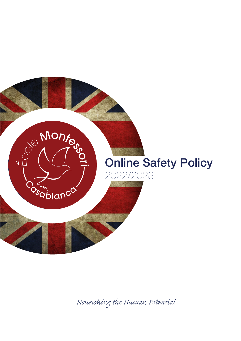

*Nourishing the Human Pential*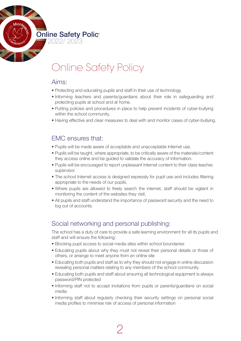

# Online Safety Policy

#### Aims:

- Protecting and educating pupils and staff in their use of technology.
- Informing teachers and parents/guardians about their role in safeguarding and protecting pupils at school and at home.
- Putting policies and procedures in place to help prevent incidents of cyber-bullying within the school community.
- Having effective and clear measures to deal with and monitor cases of cyber-bullying.

### EMC ensures that:

- Pupils will be made aware of acceptable and unacceptable Internet use.
- Pupils will be taught, where appropriate, to be critically aware of the materials/content they access online and be guided to validate the accuracy of information.
- Pupils will be encouraged to report unpleasant Internet content to their class teacher, supervisor.
- The school Internet access is designed expressly for pupil use and includes filtering appropriate to the needs of our pupils.
- Where pupils are allowed to freely search the internet, staff should be vigilant in monitoring the content of the websites they visit.
- All pupils and staff understand the importance of password security and the need to log out of accounts.

# Social networking and personal publishing:

The school has a duty of care to provide a safe learning environment for all its pupils and staff and will ensure the following:

- Blocking pupil access to social media sites within school boundaries
- Educating pupils about why they must not reveal their personal details or those of others, or arrange to meet anyone from an online site
- Educating both pupils and staff as to why they should not engage in online discussion revealing personal matters relating to any members of the school community
- Educating both pupils and staff about ensuring all technological equipment is always password/PIN protected
- Informing staff not to accept invitations from pupils or parents/guardians on social media
- • Informing staff about regularly checking their security settings on personal social media profiles to minimise risk of access of personal information